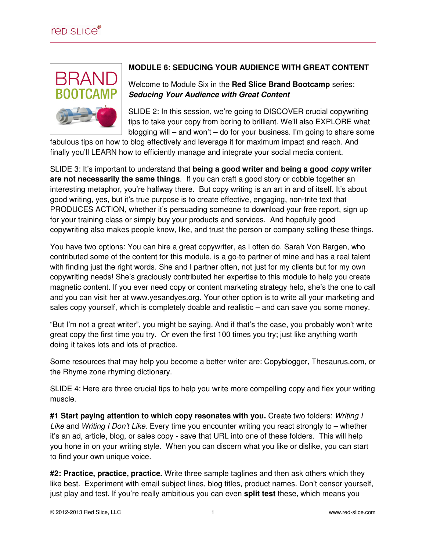

## **MODULE 6: SEDUCING YOUR AUDIENCE WITH GREAT CONTENT**

Welcome to Module Six in the **Red Slice Brand Bootcamp** series: **Seducing Your Audience with Great Content**

SLIDE 2: In this session, we're going to DISCOVER crucial copywriting tips to take your copy from boring to brilliant. We'll also EXPLORE what blogging will – and won't – do for your business. I'm going to share some

fabulous tips on how to blog effectively and leverage it for maximum impact and reach. And finally you'll LEARN how to efficiently manage and integrate your social media content.

SLIDE 3: It's important to understand that **being a good writer and being a good copy writer are not necessarily the same things**. If you can craft a good story or cobble together an interesting metaphor, you're halfway there. But copy writing is an art in and of itself. It's about good writing, yes, but it's true purpose is to create effective, engaging, non-trite text that PRODUCES ACTION, whether it's persuading someone to download your free report, sign up for your training class or simply buy your products and services. And hopefully good copywriting also makes people know, like, and trust the person or company selling these things.

You have two options: You can hire a great copywriter, as I often do. Sarah Von Bargen, who contributed some of the content for this module, is a go-to partner of mine and has a real talent with finding just the right words. She and I partner often, not just for my clients but for my own copywriting needs! She's graciously contributed her expertise to this module to help you create magnetic content. If you ever need copy or content marketing strategy help, she's the one to call and you can visit her at www.yesandyes.org. Your other option is to write all your marketing and sales copy yourself, which is completely doable and realistic – and can save you some money.

"But I'm not a great writer", you might be saying. And if that's the case, you probably won't write great copy the first time you try. Or even the first 100 times you try; just like anything worth doing it takes lots and lots of practice.

Some resources that may help you become a better writer are: Copyblogger, Thesaurus.com, or the Rhyme zone rhyming dictionary.

SLIDE 4: Here are three crucial tips to help you write more compelling copy and flex your writing muscle.

#1 Start paying attention to which copy resonates with you. Create two folders: Writing I Like and Writing I Don't Like. Every time you encounter writing you react strongly to – whether it's an ad, article, blog, or sales copy - save that URL into one of these folders. This will help you hone in on your writing style. When you can discern what you like or dislike, you can start to find your own unique voice.

**#2: Practice, practice, practice.** Write three sample taglines and then ask others which they like best. Experiment with email subject lines, blog titles, product names. Don't censor yourself, just play and test. If you're really ambitious you can even **split test** these, which means you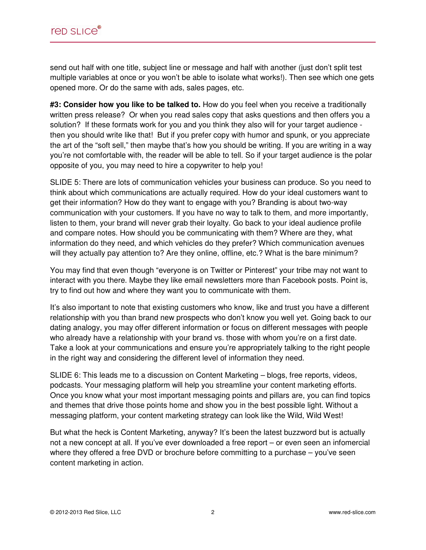send out half with one title, subject line or message and half with another (just don't split test multiple variables at once or you won't be able to isolate what works!). Then see which one gets opened more. Or do the same with ads, sales pages, etc.

**#3: Consider how you like to be talked to.** How do you feel when you receive a traditionally written press release? Or when you read sales copy that asks questions and then offers you a solution? If these formats work for you and you think they also will for your target audience then you should write like that! But if you prefer copy with humor and spunk, or you appreciate the art of the "soft sell," then maybe that's how you should be writing. If you are writing in a way you're not comfortable with, the reader will be able to tell. So if your target audience is the polar opposite of you, you may need to hire a copywriter to help you!

SLIDE 5: There are lots of communication vehicles your business can produce. So you need to think about which communications are actually required. How do your ideal customers want to get their information? How do they want to engage with you? Branding is about two-way communication with your customers. If you have no way to talk to them, and more importantly, listen to them, your brand will never grab their loyalty. Go back to your ideal audience profile and compare notes. How should you be communicating with them? Where are they, what information do they need, and which vehicles do they prefer? Which communication avenues will they actually pay attention to? Are they online, offline, etc.? What is the bare minimum?

You may find that even though "everyone is on Twitter or Pinterest" your tribe may not want to interact with you there. Maybe they like email newsletters more than Facebook posts. Point is, try to find out how and where they want you to communicate with them.

It's also important to note that existing customers who know, like and trust you have a different relationship with you than brand new prospects who don't know you well yet. Going back to our dating analogy, you may offer different information or focus on different messages with people who already have a relationship with your brand vs. those with whom you're on a first date. Take a look at your communications and ensure you're appropriately talking to the right people in the right way and considering the different level of information they need.

SLIDE 6: This leads me to a discussion on Content Marketing – blogs, free reports, videos, podcasts. Your messaging platform will help you streamline your content marketing efforts. Once you know what your most important messaging points and pillars are, you can find topics and themes that drive those points home and show you in the best possible light. Without a messaging platform, your content marketing strategy can look like the Wild, Wild West!

But what the heck is Content Marketing, anyway? It's been the latest buzzword but is actually not a new concept at all. If you've ever downloaded a free report – or even seen an infomercial where they offered a free DVD or brochure before committing to a purchase – you've seen content marketing in action.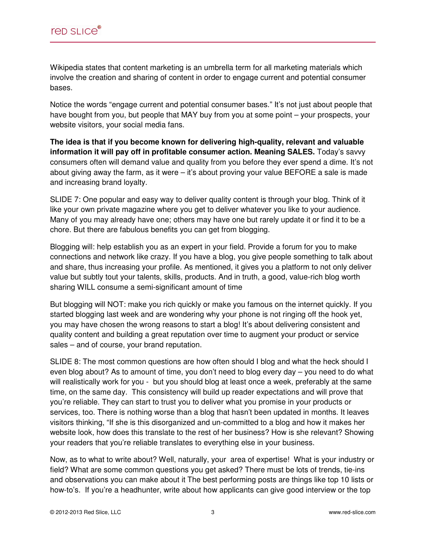Wikipedia states that content marketing is an umbrella term for all marketing materials which involve the creation and sharing of content in order to engage current and potential consumer bases.

Notice the words "engage current and potential consumer bases." It's not just about people that have bought from you, but people that MAY buy from you at some point – your prospects, your website visitors, your social media fans.

**The idea is that if you become known for delivering high-quality, relevant and valuable information it will pay off in profitable consumer action. Meaning SALES.** Today's savvy consumers often will demand value and quality from you before they ever spend a dime. It's not about giving away the farm, as it were – it's about proving your value BEFORE a sale is made and increasing brand loyalty.

SLIDE 7: One popular and easy way to deliver quality content is through your blog. Think of it like your own private magazine where you get to deliver whatever you like to your audience. Many of you may already have one; others may have one but rarely update it or find it to be a chore. But there are fabulous benefits you can get from blogging.

Blogging will: help establish you as an expert in your field. Provide a forum for you to make connections and network like crazy. If you have a blog, you give people something to talk about and share, thus increasing your profile. As mentioned, it gives you a platform to not only deliver value but subtly tout your talents, skills, products. And in truth, a good, value-rich blog worth sharing WILL consume a semi-significant amount of time

But blogging will NOT: make you rich quickly or make you famous on the internet quickly. If you started blogging last week and are wondering why your phone is not ringing off the hook yet, you may have chosen the wrong reasons to start a blog! It's about delivering consistent and quality content and building a great reputation over time to augment your product or service sales – and of course, your brand reputation.

SLIDE 8: The most common questions are how often should I blog and what the heck should I even blog about? As to amount of time, you don't need to blog every day – you need to do what will realistically work for you - but you should blog at least once a week, preferably at the same time, on the same day. This consistency will build up reader expectations and will prove that you're reliable. They can start to trust you to deliver what you promise in your products or services, too. There is nothing worse than a blog that hasn't been updated in months. It leaves visitors thinking, "If she is this disorganized and un-committed to a blog and how it makes her website look, how does this translate to the rest of her business? How is she relevant? Showing your readers that you're reliable translates to everything else in your business.

Now, as to what to write about? Well, naturally, your area of expertise! What is your industry or field? What are some common questions you get asked? There must be lots of trends, tie-ins and observations you can make about it The best performing posts are things like top 10 lists or how-to's. If you're a headhunter, write about how applicants can give good interview or the top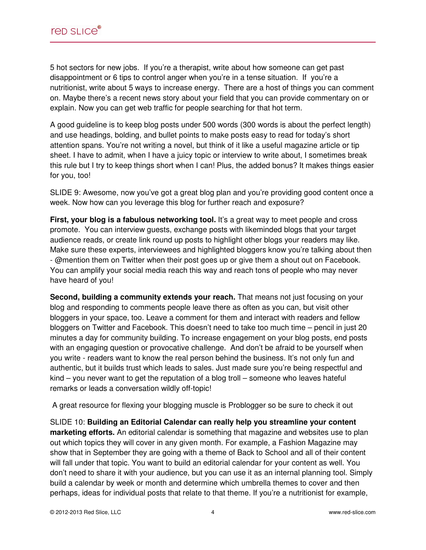5 hot sectors for new jobs. If you're a therapist, write about how someone can get past disappointment or 6 tips to control anger when you're in a tense situation. If you're a nutritionist, write about 5 ways to increase energy. There are a host of things you can comment on. Maybe there's a recent news story about your field that you can provide commentary on or explain. Now you can get web traffic for people searching for that hot term.

A good guideline is to keep blog posts under 500 words (300 words is about the perfect length) and use headings, bolding, and bullet points to make posts easy to read for today's short attention spans. You're not writing a novel, but think of it like a useful magazine article or tip sheet. I have to admit, when I have a juicy topic or interview to write about, I sometimes break this rule but I try to keep things short when I can! Plus, the added bonus? It makes things easier for you, too!

SLIDE 9: Awesome, now you've got a great blog plan and you're providing good content once a week. Now how can you leverage this blog for further reach and exposure?

**First, your blog is a fabulous networking tool.** It's a great way to meet people and cross promote. You can interview guests, exchange posts with likeminded blogs that your target audience reads, or create link round up posts to highlight other blogs your readers may like. Make sure these experts, interviewees and highlighted bloggers know you're talking about then - @mention them on Twitter when their post goes up or give them a shout out on Facebook. You can amplify your social media reach this way and reach tons of people who may never have heard of you!

**Second, building a community extends your reach.** That means not just focusing on your blog and responding to comments people leave there as often as you can, but visit other bloggers in your space, too. Leave a comment for them and interact with readers and fellow bloggers on Twitter and Facebook. This doesn't need to take too much time – pencil in just 20 minutes a day for community building. To increase engagement on your blog posts, end posts with an engaging question or provocative challenge. And don't be afraid to be yourself when you write - readers want to know the real person behind the business. It's not only fun and authentic, but it builds trust which leads to sales. Just made sure you're being respectful and kind – you never want to get the reputation of a blog troll – someone who leaves hateful remarks or leads a conversation wildly off-topic!

A great resource for flexing your blogging muscle is Problogger so be sure to check it out

SLIDE 10: **Building an Editorial Calendar can really help you streamline your content marketing efforts.** An editorial calendar is something that magazine and websites use to plan out which topics they will cover in any given month. For example, a Fashion Magazine may show that in September they are going with a theme of Back to School and all of their content will fall under that topic. You want to build an editorial calendar for your content as well. You don't need to share it with your audience, but you can use it as an internal planning tool. Simply build a calendar by week or month and determine which umbrella themes to cover and then perhaps, ideas for individual posts that relate to that theme. If you're a nutritionist for example,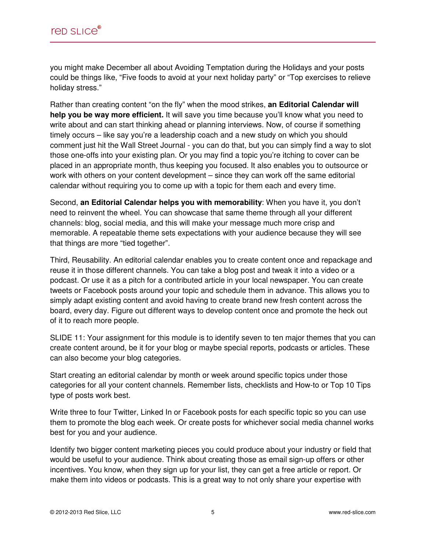you might make December all about Avoiding Temptation during the Holidays and your posts could be things like, "Five foods to avoid at your next holiday party" or "Top exercises to relieve holiday stress."

Rather than creating content "on the fly" when the mood strikes, **an Editorial Calendar will help you be way more efficient.** It will save you time because you'll know what you need to write about and can start thinking ahead or planning interviews. Now, of course if something timely occurs – like say you're a leadership coach and a new study on which you should comment just hit the Wall Street Journal - you can do that, but you can simply find a way to slot those one-offs into your existing plan. Or you may find a topic you're itching to cover can be placed in an appropriate month, thus keeping you focused. It also enables you to outsource or work with others on your content development – since they can work off the same editorial calendar without requiring you to come up with a topic for them each and every time.

Second, **an Editorial Calendar helps you with memorability**: When you have it, you don't need to reinvent the wheel. You can showcase that same theme through all your different channels: blog, social media, and this will make your message much more crisp and memorable. A repeatable theme sets expectations with your audience because they will see that things are more "tied together".

Third, Reusability. An editorial calendar enables you to create content once and repackage and reuse it in those different channels. You can take a blog post and tweak it into a video or a podcast. Or use it as a pitch for a contributed article in your local newspaper. You can create tweets or Facebook posts around your topic and schedule them in advance. This allows you to simply adapt existing content and avoid having to create brand new fresh content across the board, every day. Figure out different ways to develop content once and promote the heck out of it to reach more people.

SLIDE 11: Your assignment for this module is to identify seven to ten major themes that you can create content around, be it for your blog or maybe special reports, podcasts or articles. These can also become your blog categories.

Start creating an editorial calendar by month or week around specific topics under those categories for all your content channels. Remember lists, checklists and How-to or Top 10 Tips type of posts work best.

Write three to four Twitter, Linked In or Facebook posts for each specific topic so you can use them to promote the blog each week. Or create posts for whichever social media channel works best for you and your audience.

Identify two bigger content marketing pieces you could produce about your industry or field that would be useful to your audience. Think about creating those as email sign-up offers or other incentives. You know, when they sign up for your list, they can get a free article or report. Or make them into videos or podcasts. This is a great way to not only share your expertise with